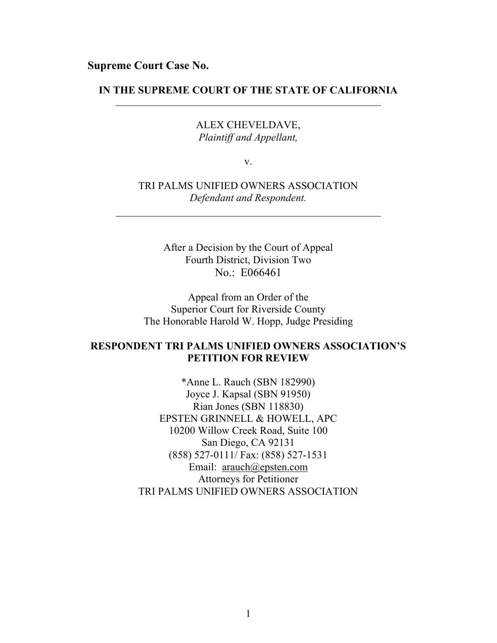**Supreme Court Case No.**

# **IN THE SUPREME COURT OF THE STATE OF CALIFORNIA**

ALEX CHEVELDAVE, *Plaintiff and Appellant,*

v.

TRI PALMS UNIFIED OWNERS ASSOCIATION *Defendant and Respondent.*

> After a Decision by the Court of Appeal Fourth District, Division Two No.: E066461

Appeal from an Order of the Superior Court for Riverside County The Honorable Harold W. Hopp, Judge Presiding

# **RESPONDENT TRI PALMS UNIFIED OWNERS ASSOCIATION'S PETITION FOR REVIEW**

\*Anne L. Rauch (SBN 182990) Joyce J. Kapsal (SBN 91950) Rian Jones (SBN 118830) EPSTEN GRINNELL & HOWELL, APC 10200 Willow Creek Road, Suite 100 San Diego, CA 92131 (858) 527-0111/ Fax: (858) 527-1531 Email: [arauch@epsten.com](mailto:arauch@epsten.com) Attorneys for Petitioner TRI PALMS UNIFIED OWNERS ASSOCIATION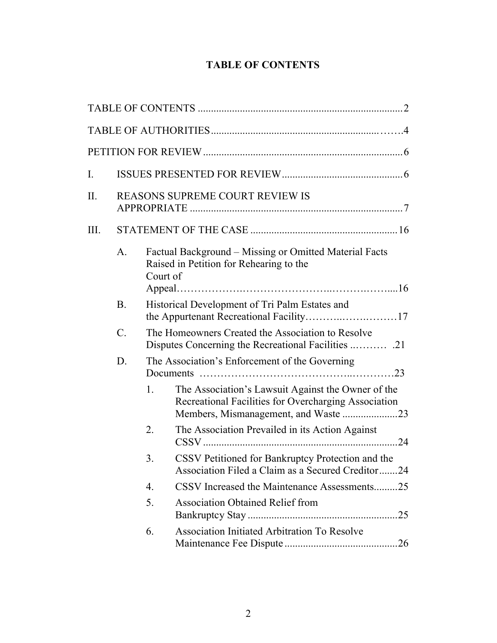# <span id="page-1-0"></span>**TABLE OF CONTENTS**

| $I_{\cdot}$ |                 |                                                   |                                                                                                                                                    |    |  |  |
|-------------|-----------------|---------------------------------------------------|----------------------------------------------------------------------------------------------------------------------------------------------------|----|--|--|
| II.         |                 | REASONS SUPREME COURT REVIEW IS                   |                                                                                                                                                    |    |  |  |
| III.        |                 |                                                   |                                                                                                                                                    |    |  |  |
|             | A.              |                                                   | Factual Background – Missing or Omitted Material Facts<br>Raised in Petition for Rehearing to the<br>Court of                                      |    |  |  |
|             | <b>B</b> .      | Historical Development of Tri Palm Estates and    |                                                                                                                                                    |    |  |  |
|             | $\mathcal{C}$ . | The Homeowners Created the Association to Resolve |                                                                                                                                                    |    |  |  |
|             | D.              | The Association's Enforcement of the Governing    |                                                                                                                                                    |    |  |  |
|             |                 | $1_{\cdot}$                                       | The Association's Lawsuit Against the Owner of the<br>Recreational Facilities for Overcharging Association<br>Members, Mismanagement, and Waste 23 |    |  |  |
|             |                 | 2.                                                | The Association Prevailed in its Action Against                                                                                                    |    |  |  |
|             |                 | 3.                                                | CSSV Petitioned for Bankruptcy Protection and the<br>Association Filed a Claim as a Secured Creditor24                                             |    |  |  |
|             |                 | $\overline{4}$ .                                  | CSSV Increased the Maintenance Assessments25                                                                                                       |    |  |  |
|             |                 | 5.                                                | <b>Association Obtained Relief from</b>                                                                                                            | 25 |  |  |
|             |                 | 6.                                                | <b>Association Initiated Arbitration To Resolve</b>                                                                                                |    |  |  |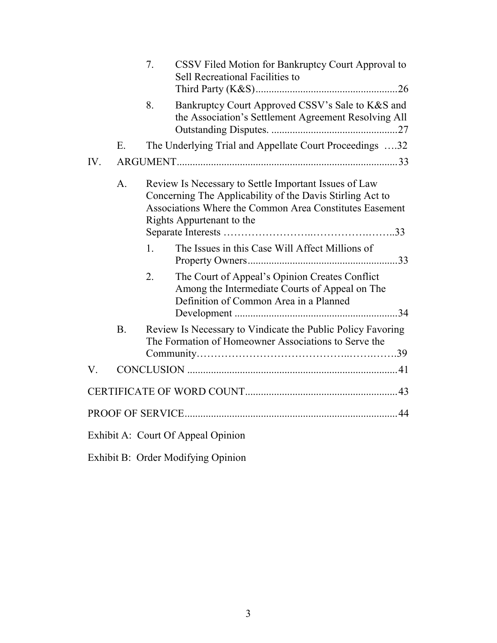|     |                                                                                                                                                                                                                              | 7.               | CSSV Filed Motion for Bankruptcy Court Approval to<br>Sell Recreational Facilities to                                                      |  |
|-----|------------------------------------------------------------------------------------------------------------------------------------------------------------------------------------------------------------------------------|------------------|--------------------------------------------------------------------------------------------------------------------------------------------|--|
|     |                                                                                                                                                                                                                              | 8.               | Bankruptcy Court Approved CSSV's Sale to K&S and<br>the Association's Settlement Agreement Resolving All                                   |  |
|     | Ε.                                                                                                                                                                                                                           |                  | The Underlying Trial and Appellate Court Proceedings 32                                                                                    |  |
| IV. |                                                                                                                                                                                                                              |                  |                                                                                                                                            |  |
|     | Review Is Necessary to Settle Important Issues of Law<br>$\mathbf{A}$ .<br>Concerning The Applicability of the Davis Stirling Act to<br>Associations Where the Common Area Constitutes Easement<br>Rights Appurtenant to the |                  |                                                                                                                                            |  |
|     |                                                                                                                                                                                                                              | 1.               | The Issues in this Case Will Affect Millions of                                                                                            |  |
|     |                                                                                                                                                                                                                              | $\overline{2}$ . | The Court of Appeal's Opinion Creates Conflict<br>Among the Intermediate Courts of Appeal on The<br>Definition of Common Area in a Planned |  |
|     | B <sub>1</sub>                                                                                                                                                                                                               |                  | Review Is Necessary to Vindicate the Public Policy Favoring<br>The Formation of Homeowner Associations to Serve the                        |  |
| V.  |                                                                                                                                                                                                                              |                  |                                                                                                                                            |  |
|     |                                                                                                                                                                                                                              |                  |                                                                                                                                            |  |
|     |                                                                                                                                                                                                                              |                  |                                                                                                                                            |  |
|     |                                                                                                                                                                                                                              |                  | Exhibit A: Court Of Appeal Opinion                                                                                                         |  |

Exhibit B: Order Modifying Opinion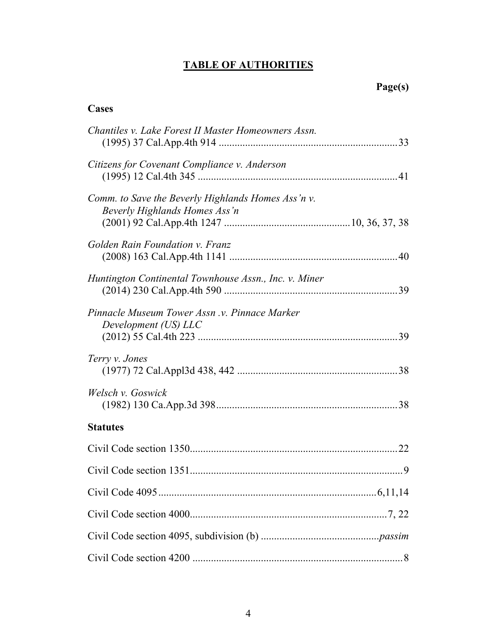# **TABLE OF AUTHORITIES**

# **Page(s)**

# **Cases**

| Chantiles v. Lake Forest II Master Homeowners Assn.                                 |     |
|-------------------------------------------------------------------------------------|-----|
| Citizens for Covenant Compliance v. Anderson                                        |     |
| Comm. to Save the Beverly Highlands Homes Ass'n v.<br>Beverly Highlands Homes Ass'n |     |
| Golden Rain Foundation v. Franz                                                     |     |
| Huntington Continental Townhouse Assn., Inc. v. Miner                               |     |
| Pinnacle Museum Tower Assn .v. Pinnace Marker<br>Development (US) LLC               | .39 |
| Terry v. Jones                                                                      |     |
| Welsch v. Goswick                                                                   |     |
| <b>Statutes</b>                                                                     |     |
|                                                                                     |     |
|                                                                                     |     |
|                                                                                     |     |
|                                                                                     |     |
|                                                                                     |     |
|                                                                                     |     |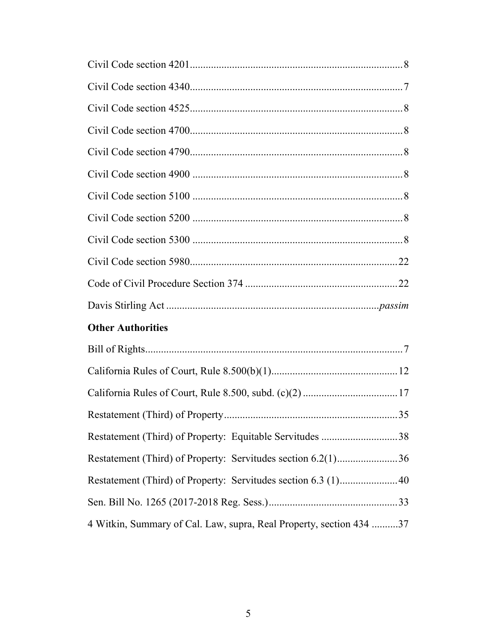| <b>Other Authorities</b>                                 |  |  |  |
|----------------------------------------------------------|--|--|--|
|                                                          |  |  |  |
|                                                          |  |  |  |
|                                                          |  |  |  |
|                                                          |  |  |  |
| Restatement (Third) of Property: Equitable Servitudes 38 |  |  |  |

Restatement (Third) of Property: Servitudes section 6.2(1).......................[36](#page-35-1)

Restatement (Third) of Property: Servitudes section 6.3 (1)......................[40](#page-39-1)

Sen. Bill No. 1265 (2017-2018 Reg. Sess.).................................................[33](#page-32-4)

4 Witkin, Summary of Cal. Law, supra, Real Property, section 434 ..........37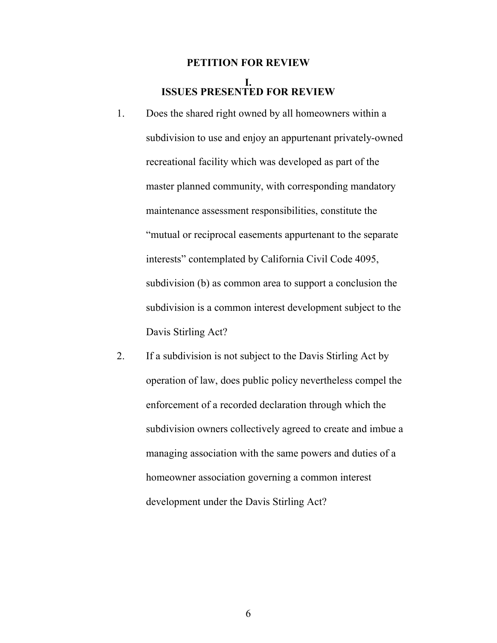# <span id="page-5-1"></span><span id="page-5-0"></span>**PETITION FOR REVIEW I. ISSUES PRESENTED FOR REVIEW**

- 1. Does the shared right owned by all homeowners within a subdivision to use and enjoy an appurtenant privately-owned recreational facility which was developed as part of the master planned community, with corresponding mandatory maintenance assessment responsibilities, constitute the "mutual or reciprocal easements appurtenant to the separate interests" contemplated by California Civil Code 4095, subdivision (b) as common area to support a conclusion the subdivision is a common interest development subject to the Davis Stirling Act?
- 2. If a subdivision is not subject to the Davis Stirling Act by operation of law, does public policy nevertheless compel the enforcement of a recorded declaration through which the subdivision owners collectively agreed to create and imbue a managing association with the same powers and duties of a homeowner association governing a common interest development under the Davis Stirling Act?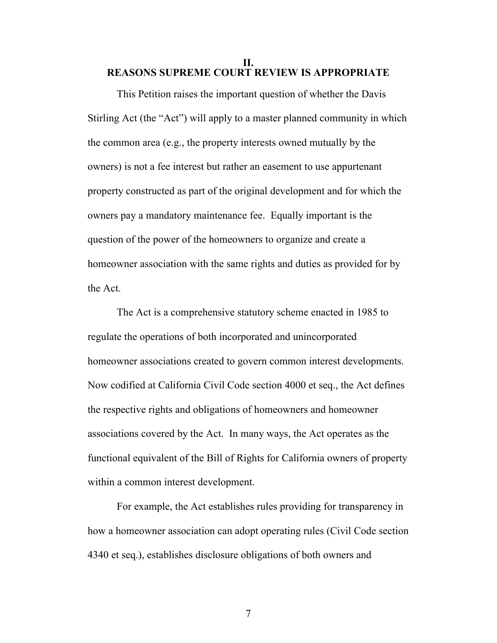#### <span id="page-6-0"></span>**II. REASONS SUPREME COURT REVIEW IS APPROPRIATE**

This Petition raises the important question of whether the Davis Stirling Act (the "Act") will apply to a master planned community in which the common area (e.g., the property interests owned mutually by the owners) is not a fee interest but rather an easement to use appurtenant property constructed as part of the original development and for which the owners pay a mandatory maintenance fee. Equally important is the question of the power of the homeowners to organize and create a homeowner association with the same rights and duties as provided for by the Act.

The Act is a comprehensive statutory scheme enacted in 1985 to regulate the operations of both incorporated and unincorporated homeowner associations created to govern common interest developments. Now codified at California Civil Code section 4000 et seq., the Act defines the respective rights and obligations of homeowners and homeowner associations covered by the Act. In many ways, the Act operates as the functional equivalent of the Bill of Rights for California owners of property within a common interest development.

<span id="page-6-2"></span><span id="page-6-1"></span>For example, the Act establishes rules providing for transparency in how a homeowner association can adopt operating rules (Civil Code section 4340 et seq.), establishes disclosure obligations of both owners and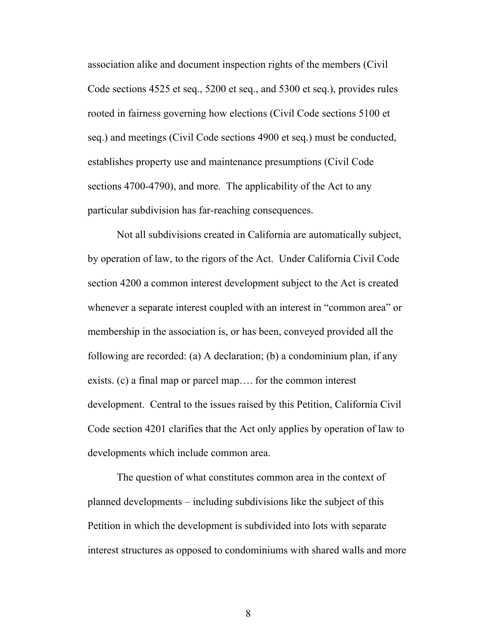<span id="page-7-5"></span><span id="page-7-4"></span><span id="page-7-2"></span>association alike and document inspection rights of the members (Civil Code sections 4525 et seq., 5200 et seq., and 5300 et seq.), provides rules rooted in fairness governing how elections (Civil Code sections 5100 et seq.) and meetings (Civil Code sections 4900 et seq.) must be conducted, establishes property use and maintenance presumptions (Civil Code sections 4700-4790), and more. The applicability of the Act to any particular subdivision has far-reaching consequences.

<span id="page-7-3"></span><span id="page-7-0"></span>Not all subdivisions created in California are automatically subject, by operation of law, to the rigors of the Act. Under California Civil Code section 4200 a common interest development subject to the Act is created whenever a separate interest coupled with an interest in "common area" or membership in the association is, or has been, conveyed provided all the following are recorded: (a) A declaration; (b) a condominium plan, if any exists. (c) a final map or parcel map…. for the common interest development. Central to the issues raised by this Petition, California Civil Code section 4201 clarifies that the Act only applies by operation of law to developments which include common area.

<span id="page-7-1"></span>The question of what constitutes common area in the context of planned developments – including subdivisions like the subject of this Petition in which the development is subdivided into lots with separate interest structures as opposed to condominiums with shared walls and more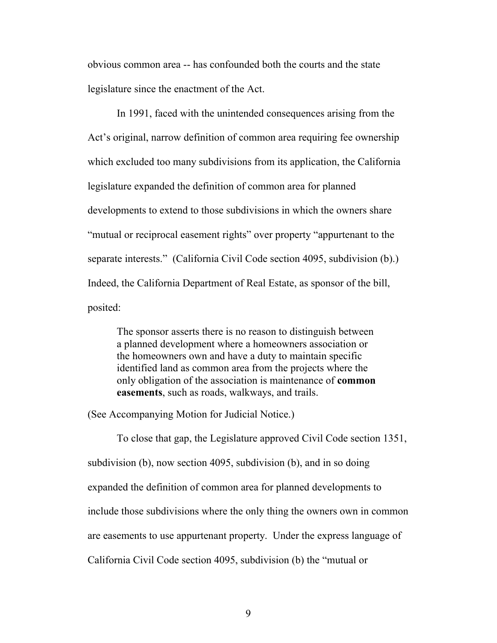obvious common area -- has confounded both the courts and the state legislature since the enactment of the Act.

In 1991, faced with the unintended consequences arising from the Act's original, narrow definition of common area requiring fee ownership which excluded too many subdivisions from its application, the California legislature expanded the definition of common area for planned developments to extend to those subdivisions in which the owners share "mutual or reciprocal easement rights" over property "appurtenant to the separate interests." (California Civil Code section 4095, subdivision (b).) Indeed, the California Department of Real Estate, as sponsor of the bill, posited:

<span id="page-8-0"></span>The sponsor asserts there is no reason to distinguish between a planned development where a homeowners association or the homeowners own and have a duty to maintain specific identified land as common area from the projects where the only obligation of the association is maintenance of **common easements**, such as roads, walkways, and trails.

(See Accompanying Motion for Judicial Notice.)

To close that gap, the Legislature approved Civil Code section 1351, subdivision (b), now section 4095, subdivision (b), and in so doing expanded the definition of common area for planned developments to include those subdivisions where the only thing the owners own in common are easements to use appurtenant property. Under the express language of California Civil Code section 4095, subdivision (b) the "mutual or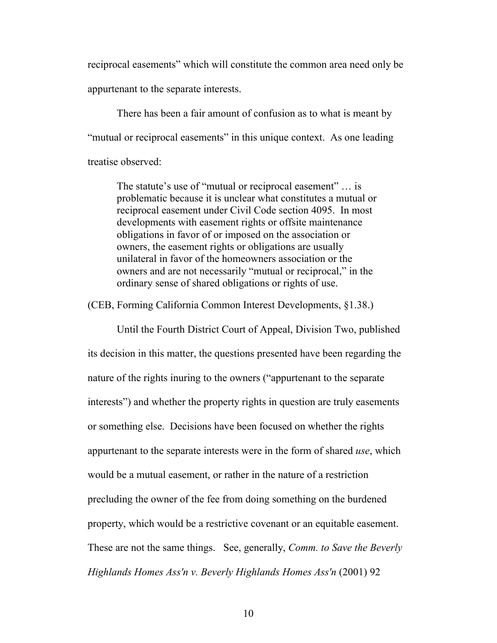reciprocal easements" which will constitute the common area need only be appurtenant to the separate interests.

There has been a fair amount of confusion as to what is meant by "mutual or reciprocal easements" in this unique context. As one leading treatise observed:

The statute's use of "mutual or reciprocal easement" … is problematic because it is unclear what constitutes a mutual or reciprocal easement under Civil Code section 4095. In most developments with easement rights or offsite maintenance obligations in favor of or imposed on the association or owners, the easement rights or obligations are usually unilateral in favor of the homeowners association or the owners and are not necessarily "mutual or reciprocal," in the ordinary sense of shared obligations or rights of use.

(CEB, Forming California Common Interest Developments, §1.38.)

<span id="page-9-0"></span>Until the Fourth District Court of Appeal, Division Two, published its decision in this matter, the questions presented have been regarding the nature of the rights inuring to the owners ("appurtenant to the separate interests") and whether the property rights in question are truly easements or something else. Decisions have been focused on whether the rights appurtenant to the separate interests were in the form of shared *use*, which would be a mutual easement, or rather in the nature of a restriction precluding the owner of the fee from doing something on the burdened property, which would be a restrictive covenant or an equitable easement. These are not the same things. See, generally, *Comm. to Save the Beverly Highlands Homes Ass'n v. Beverly Highlands Homes Ass'n* (2001) 92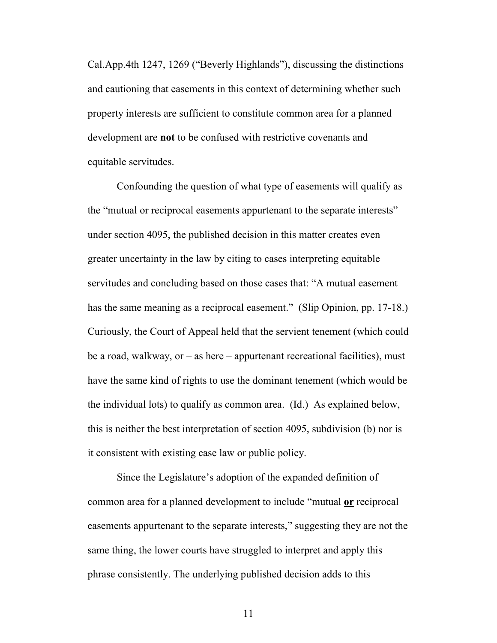Cal.App.4th 1247, 1269 ("Beverly Highlands"), discussing the distinctions and cautioning that easements in this context of determining whether such property interests are sufficient to constitute common area for a planned development are **not** to be confused with restrictive covenants and equitable servitudes.

Confounding the question of what type of easements will qualify as the "mutual or reciprocal easements appurtenant to the separate interests" under section 4095, the published decision in this matter creates even greater uncertainty in the law by citing to cases interpreting equitable servitudes and concluding based on those cases that: "A mutual easement has the same meaning as a reciprocal easement." (Slip Opinion, pp. 17-18.) Curiously, the Court of Appeal held that the servient tenement (which could be a road, walkway, or – as here – appurtenant recreational facilities), must have the same kind of rights to use the dominant tenement (which would be the individual lots) to qualify as common area. (Id.) As explained below, this is neither the best interpretation of section 4095, subdivision (b) nor is it consistent with existing case law or public policy.

Since the Legislature's adoption of the expanded definition of common area for a planned development to include "mutual **or** reciprocal easements appurtenant to the separate interests," suggesting they are not the same thing, the lower courts have struggled to interpret and apply this phrase consistently. The underlying published decision adds to this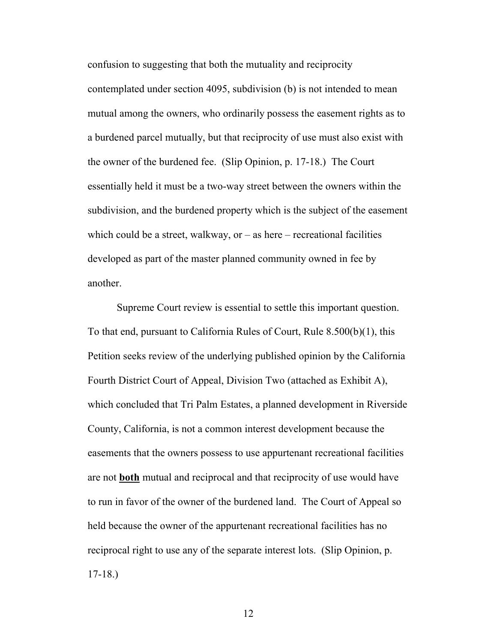confusion to suggesting that both the mutuality and reciprocity contemplated under section 4095, subdivision (b) is not intended to mean mutual among the owners, who ordinarily possess the easement rights as to a burdened parcel mutually, but that reciprocity of use must also exist with the owner of the burdened fee. (Slip Opinion, p. 17-18.) The Court essentially held it must be a two-way street between the owners within the subdivision, and the burdened property which is the subject of the easement which could be a street, walkway, or  $-\text{as }$  here  $-\text{recreational facilities}$ developed as part of the master planned community owned in fee by another.

<span id="page-11-0"></span>Supreme Court review is essential to settle this important question. To that end, pursuant to California Rules of Court, Rule 8.500(b)(1), this Petition seeks review of the underlying published opinion by the California Fourth District Court of Appeal, Division Two (attached as Exhibit A), which concluded that Tri Palm Estates, a planned development in Riverside County, California, is not a common interest development because the easements that the owners possess to use appurtenant recreational facilities are not **both** mutual and reciprocal and that reciprocity of use would have to run in favor of the owner of the burdened land. The Court of Appeal so held because the owner of the appurtenant recreational facilities has no reciprocal right to use any of the separate interest lots. (Slip Opinion, p. 17-18.)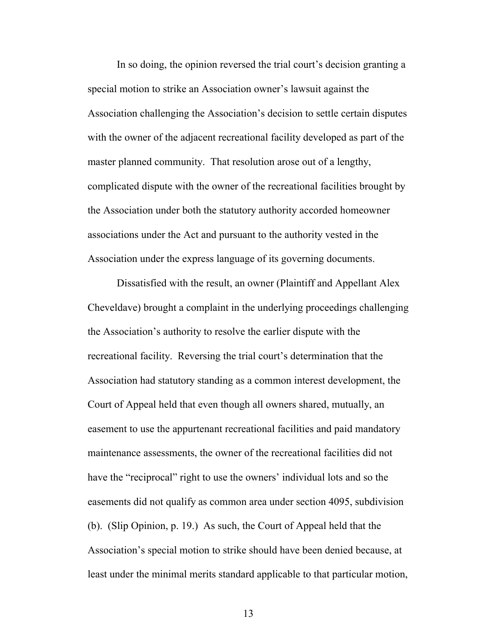In so doing, the opinion reversed the trial court's decision granting a special motion to strike an Association owner's lawsuit against the Association challenging the Association's decision to settle certain disputes with the owner of the adjacent recreational facility developed as part of the master planned community. That resolution arose out of a lengthy, complicated dispute with the owner of the recreational facilities brought by the Association under both the statutory authority accorded homeowner associations under the Act and pursuant to the authority vested in the Association under the express language of its governing documents.

Dissatisfied with the result, an owner (Plaintiff and Appellant Alex Cheveldave) brought a complaint in the underlying proceedings challenging the Association's authority to resolve the earlier dispute with the recreational facility. Reversing the trial court's determination that the Association had statutory standing as a common interest development, the Court of Appeal held that even though all owners shared, mutually, an easement to use the appurtenant recreational facilities and paid mandatory maintenance assessments, the owner of the recreational facilities did not have the "reciprocal" right to use the owners' individual lots and so the easements did not qualify as common area under section 4095, subdivision (b). (Slip Opinion, p. 19.) As such, the Court of Appeal held that the Association's special motion to strike should have been denied because, at least under the minimal merits standard applicable to that particular motion,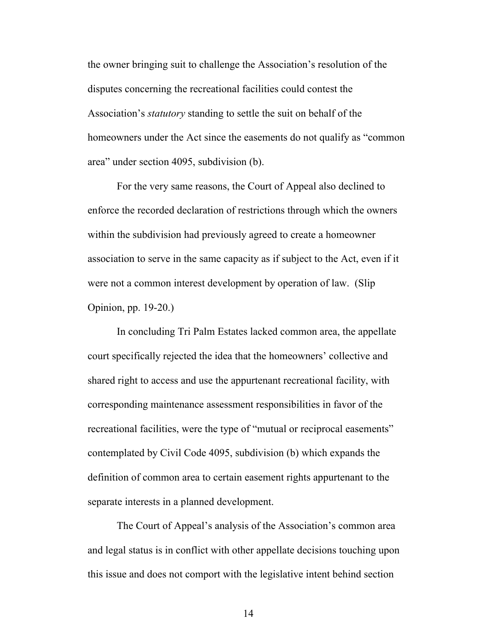the owner bringing suit to challenge the Association's resolution of the disputes concerning the recreational facilities could contest the Association's *statutory* standing to settle the suit on behalf of the homeowners under the Act since the easements do not qualify as "common area" under section 4095, subdivision (b).

For the very same reasons, the Court of Appeal also declined to enforce the recorded declaration of restrictions through which the owners within the subdivision had previously agreed to create a homeowner association to serve in the same capacity as if subject to the Act, even if it were not a common interest development by operation of law. (Slip Opinion, pp. 19-20.)

In concluding Tri Palm Estates lacked common area, the appellate court specifically rejected the idea that the homeowners' collective and shared right to access and use the appurtenant recreational facility, with corresponding maintenance assessment responsibilities in favor of the recreational facilities, were the type of "mutual or reciprocal easements" contemplated by Civil Code 4095, subdivision (b) which expands the definition of common area to certain easement rights appurtenant to the separate interests in a planned development.

The Court of Appeal's analysis of the Association's common area and legal status is in conflict with other appellate decisions touching upon this issue and does not comport with the legislative intent behind section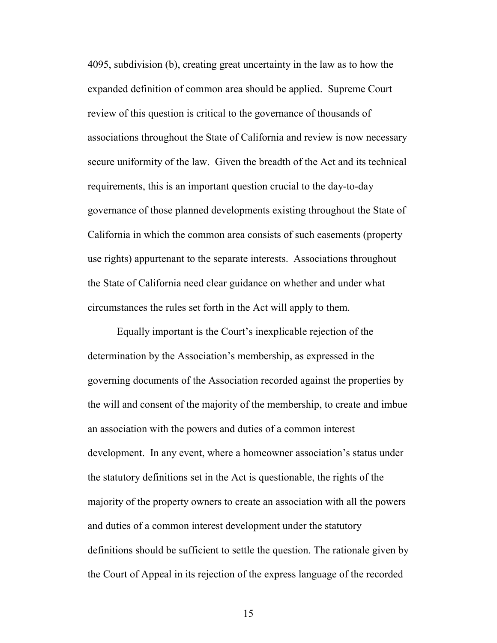4095, subdivision (b), creating great uncertainty in the law as to how the expanded definition of common area should be applied. Supreme Court review of this question is critical to the governance of thousands of associations throughout the State of California and review is now necessary secure uniformity of the law. Given the breadth of the Act and its technical requirements, this is an important question crucial to the day-to-day governance of those planned developments existing throughout the State of California in which the common area consists of such easements (property use rights) appurtenant to the separate interests. Associations throughout the State of California need clear guidance on whether and under what circumstances the rules set forth in the Act will apply to them.

Equally important is the Court's inexplicable rejection of the determination by the Association's membership, as expressed in the governing documents of the Association recorded against the properties by the will and consent of the majority of the membership, to create and imbue an association with the powers and duties of a common interest development. In any event, where a homeowner association's status under the statutory definitions set in the Act is questionable, the rights of the majority of the property owners to create an association with all the powers and duties of a common interest development under the statutory definitions should be sufficient to settle the question. The rationale given by the Court of Appeal in its rejection of the express language of the recorded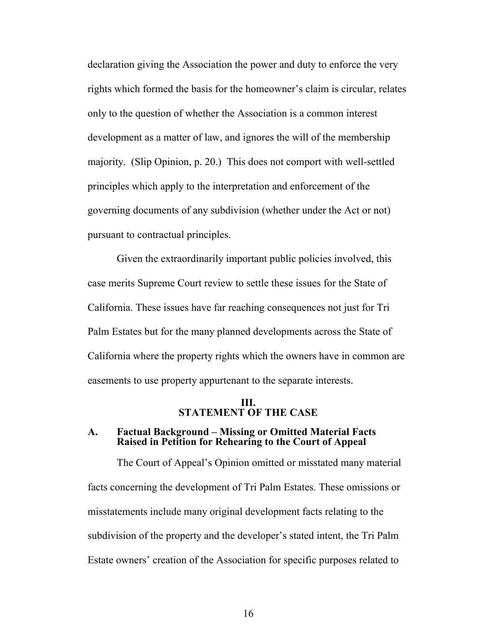declaration giving the Association the power and duty to enforce the very rights which formed the basis for the homeowner's claim is circular, relates only to the question of whether the Association is a common interest development as a matter of law, and ignores the will of the membership majority. (Slip Opinion, p. 20.) This does not comport with well-settled principles which apply to the interpretation and enforcement of the governing documents of any subdivision (whether under the Act or not) pursuant to contractual principles.

Given the extraordinarily important public policies involved, this case merits Supreme Court review to settle these issues for the State of California. These issues have far reaching consequences not just for Tri Palm Estates but for the many planned developments across the State of California where the property rights which the owners have in common are easements to use property appurtenant to the separate interests.

### <span id="page-15-1"></span><span id="page-15-0"></span>**III. STATEMENT OF THE CASE**

## **A. Factual Background – Missing or Omitted Material Facts Raised in Petition for Rehearing to the Court of Appeal**

The Court of Appeal's Opinion omitted or misstated many material facts concerning the development of Tri Palm Estates. These omissions or misstatements include many original development facts relating to the subdivision of the property and the developer's stated intent, the Tri Palm Estate owners' creation of the Association for specific purposes related to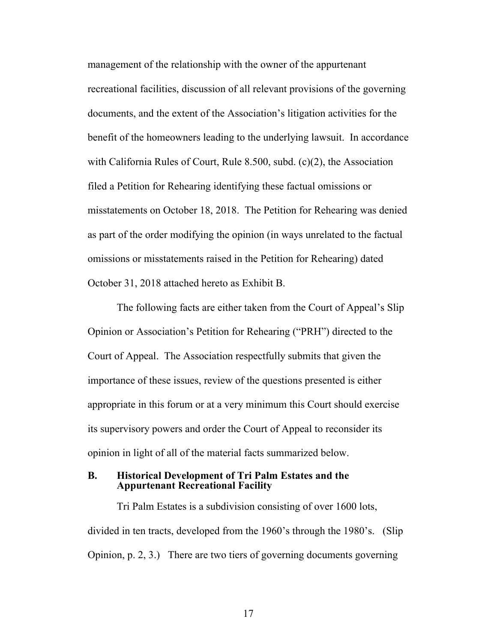<span id="page-16-1"></span>management of the relationship with the owner of the appurtenant recreational facilities, discussion of all relevant provisions of the governing documents, and the extent of the Association's litigation activities for the benefit of the homeowners leading to the underlying lawsuit. In accordance with California Rules of Court, Rule 8.500, subd. (c)(2), the Association filed a Petition for Rehearing identifying these factual omissions or misstatements on October 18, 2018. The Petition for Rehearing was denied as part of the order modifying the opinion (in ways unrelated to the factual omissions or misstatements raised in the Petition for Rehearing) dated October 31, 2018 attached hereto as Exhibit B.

The following facts are either taken from the Court of Appeal's Slip Opinion or Association's Petition for Rehearing ("PRH") directed to the Court of Appeal. The Association respectfully submits that given the importance of these issues, review of the questions presented is either appropriate in this forum or at a very minimum this Court should exercise its supervisory powers and order the Court of Appeal to reconsider its opinion in light of all of the material facts summarized below.

#### <span id="page-16-0"></span>**B. Historical Development of Tri Palm Estates and the Appurtenant Recreational Facility**

Tri Palm Estates is a subdivision consisting of over 1600 lots, divided in ten tracts, developed from the 1960's through the 1980's. (Slip Opinion, p. 2, 3.) There are two tiers of governing documents governing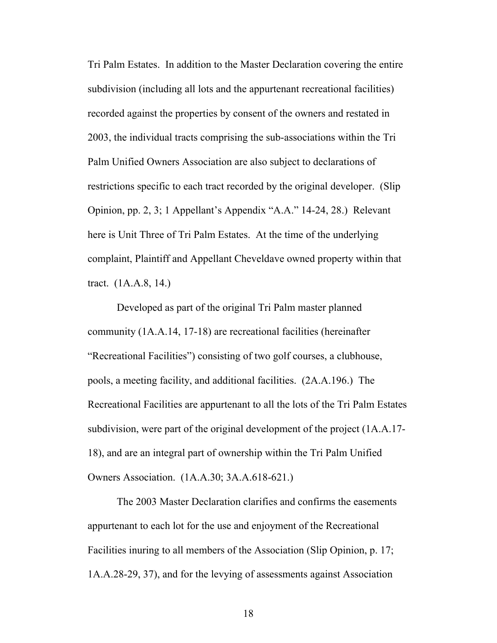Tri Palm Estates. In addition to the Master Declaration covering the entire subdivision (including all lots and the appurtenant recreational facilities) recorded against the properties by consent of the owners and restated in 2003, the individual tracts comprising the sub-associations within the Tri Palm Unified Owners Association are also subject to declarations of restrictions specific to each tract recorded by the original developer. (Slip Opinion, pp. 2, 3; 1 Appellant's Appendix "A.A." 14-24, 28.) Relevant here is Unit Three of Tri Palm Estates. At the time of the underlying complaint, Plaintiff and Appellant Cheveldave owned property within that tract. (1A.A.8, 14.)

Developed as part of the original Tri Palm master planned community (1A.A.14, 17-18) are recreational facilities (hereinafter "Recreational Facilities") consisting of two golf courses, a clubhouse, pools, a meeting facility, and additional facilities. (2A.A.196.) The Recreational Facilities are appurtenant to all the lots of the Tri Palm Estates subdivision, were part of the original development of the project (1A.A.17- 18), and are an integral part of ownership within the Tri Palm Unified Owners Association. (1A.A.30; 3A.A.618-621.)

The 2003 Master Declaration clarifies and confirms the easements appurtenant to each lot for the use and enjoyment of the Recreational Facilities inuring to all members of the Association (Slip Opinion, p. 17; 1A.A.28-29, 37), and for the levying of assessments against Association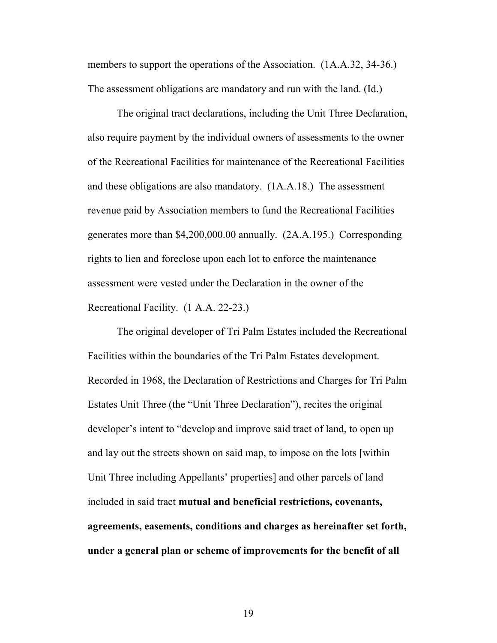members to support the operations of the Association. (1A.A.32, 34-36.) The assessment obligations are mandatory and run with the land. (Id.)

The original tract declarations, including the Unit Three Declaration, also require payment by the individual owners of assessments to the owner of the Recreational Facilities for maintenance of the Recreational Facilities and these obligations are also mandatory. (1A.A.18.) The assessment revenue paid by Association members to fund the Recreational Facilities generates more than \$4,200,000.00 annually. (2A.A.195.) Corresponding rights to lien and foreclose upon each lot to enforce the maintenance assessment were vested under the Declaration in the owner of the Recreational Facility. (1 A.A. 22-23.)

The original developer of Tri Palm Estates included the Recreational Facilities within the boundaries of the Tri Palm Estates development. Recorded in 1968, the Declaration of Restrictions and Charges for Tri Palm Estates Unit Three (the "Unit Three Declaration"), recites the original developer's intent to "develop and improve said tract of land, to open up and lay out the streets shown on said map, to impose on the lots [within Unit Three including Appellants' properties] and other parcels of land included in said tract **mutual and beneficial restrictions, covenants, agreements, easements, conditions and charges as hereinafter set forth, under a general plan or scheme of improvements for the benefit of all**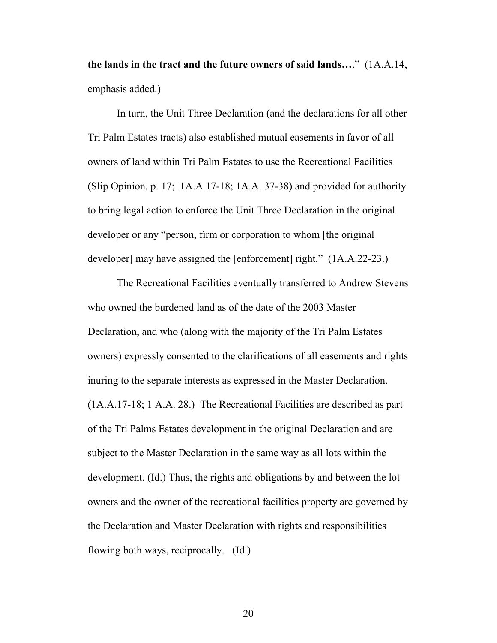**the lands in the tract and the future owners of said lands…**." (1A.A.14, emphasis added.)

In turn, the Unit Three Declaration (and the declarations for all other Tri Palm Estates tracts) also established mutual easements in favor of all owners of land within Tri Palm Estates to use the Recreational Facilities (Slip Opinion, p. 17; 1A.A 17-18; 1A.A. 37-38) and provided for authority to bring legal action to enforce the Unit Three Declaration in the original developer or any "person, firm or corporation to whom [the original developer] may have assigned the [enforcement] right." (1A.A.22-23.)

The Recreational Facilities eventually transferred to Andrew Stevens who owned the burdened land as of the date of the 2003 Master Declaration, and who (along with the majority of the Tri Palm Estates owners) expressly consented to the clarifications of all easements and rights inuring to the separate interests as expressed in the Master Declaration. (1A.A.17-18; 1 A.A. 28.) The Recreational Facilities are described as part of the Tri Palms Estates development in the original Declaration and are subject to the Master Declaration in the same way as all lots within the development. (Id.) Thus, the rights and obligations by and between the lot owners and the owner of the recreational facilities property are governed by the Declaration and Master Declaration with rights and responsibilities flowing both ways, reciprocally. (Id.)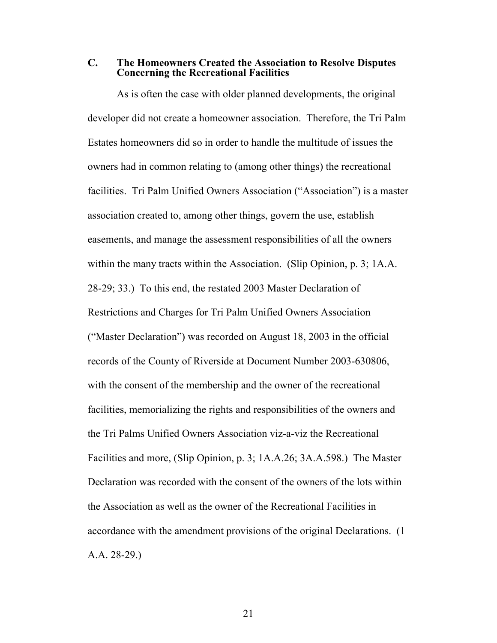**C. The Homeowners Created the Association to Resolve Disputes Concerning the Recreational Facilities**

<span id="page-20-0"></span>As is often the case with older planned developments, the original developer did not create a homeowner association. Therefore, the Tri Palm Estates homeowners did so in order to handle the multitude of issues the owners had in common relating to (among other things) the recreational facilities. Tri Palm Unified Owners Association ("Association") is a master association created to, among other things, govern the use, establish easements, and manage the assessment responsibilities of all the owners within the many tracts within the Association. (Slip Opinion, p. 3; 1A.A. 28-29; 33.) To this end, the restated 2003 Master Declaration of Restrictions and Charges for Tri Palm Unified Owners Association ("Master Declaration") was recorded on August 18, 2003 in the official records of the County of Riverside at Document Number 2003-630806, with the consent of the membership and the owner of the recreational facilities, memorializing the rights and responsibilities of the owners and the Tri Palms Unified Owners Association viz-a-viz the Recreational Facilities and more, (Slip Opinion, p. 3; 1A.A.26; 3A.A.598.) The Master Declaration was recorded with the consent of the owners of the lots within the Association as well as the owner of the Recreational Facilities in accordance with the amendment provisions of the original Declarations. (1 A.A. 28-29.)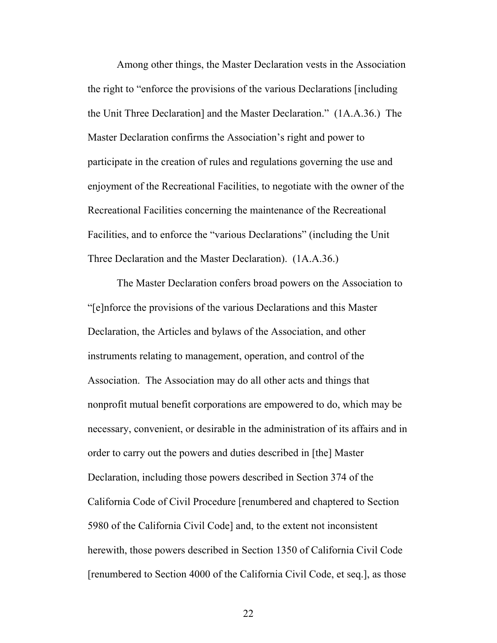Among other things, the Master Declaration vests in the Association the right to "enforce the provisions of the various Declarations [including the Unit Three Declaration] and the Master Declaration." (1A.A.36.) The Master Declaration confirms the Association's right and power to participate in the creation of rules and regulations governing the use and enjoyment of the Recreational Facilities, to negotiate with the owner of the Recreational Facilities concerning the maintenance of the Recreational Facilities, and to enforce the "various Declarations" (including the Unit Three Declaration and the Master Declaration). (1A.A.36.)

<span id="page-21-2"></span><span id="page-21-1"></span><span id="page-21-0"></span>The Master Declaration confers broad powers on the Association to "[e]nforce the provisions of the various Declarations and this Master Declaration, the Articles and bylaws of the Association, and other instruments relating to management, operation, and control of the Association. The Association may do all other acts and things that nonprofit mutual benefit corporations are empowered to do, which may be necessary, convenient, or desirable in the administration of its affairs and in order to carry out the powers and duties described in [the] Master Declaration, including those powers described in Section 374 of the California Code of Civil Procedure [renumbered and chaptered to Section 5980 of the California Civil Code] and, to the extent not inconsistent herewith, those powers described in Section 1350 of California Civil Code [renumbered to Section 4000 of the California Civil Code, et seq.], as those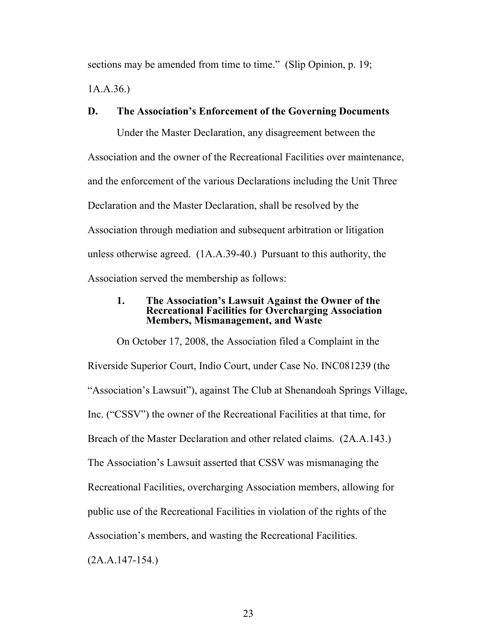sections may be amended from time to time." (Slip Opinion, p. 19;

<span id="page-22-0"></span>1A.A.36.)

# **D. The Association's Enforcement of the Governing Documents**

Under the Master Declaration, any disagreement between the Association and the owner of the Recreational Facilities over maintenance, and the enforcement of the various Declarations including the Unit Three Declaration and the Master Declaration, shall be resolved by the Association through mediation and subsequent arbitration or litigation unless otherwise agreed. (1A.A.39-40.) Pursuant to this authority, the Association served the membership as follows:

## <span id="page-22-1"></span>**1. The Association's Lawsuit Against the Owner of the Recreational Facilities for Overcharging Association Members, Mismanagement, and Waste**

On October 17, 2008, the Association filed a Complaint in the Riverside Superior Court, Indio Court, under Case No. INC081239 (the "Association's Lawsuit"), against The Club at Shenandoah Springs Village, Inc. ("CSSV") the owner of the Recreational Facilities at that time, for Breach of the Master Declaration and other related claims. (2A.A.143.) The Association's Lawsuit asserted that CSSV was mismanaging the Recreational Facilities, overcharging Association members, allowing for public use of the Recreational Facilities in violation of the rights of the Association's members, and wasting the Recreational Facilities.

(2A.A.147-154.)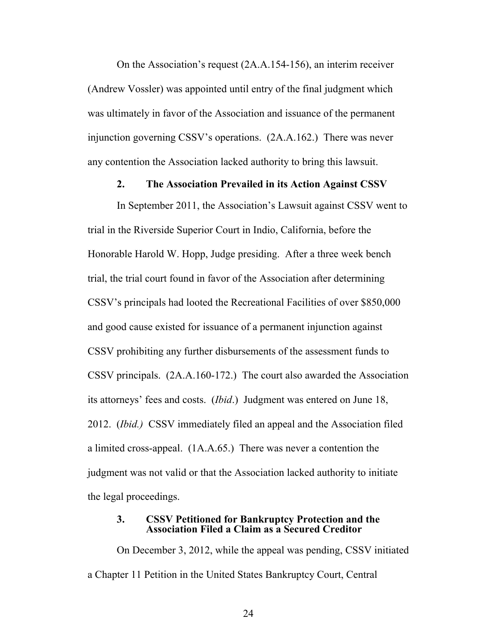On the Association's request (2A.A.154-156), an interim receiver (Andrew Vossler) was appointed until entry of the final judgment which was ultimately in favor of the Association and issuance of the permanent injunction governing CSSV's operations. (2A.A.162.) There was never any contention the Association lacked authority to bring this lawsuit.

#### <span id="page-23-0"></span>**2. The Association Prevailed in its Action Against CSSV**

In September 2011, the Association's Lawsuit against CSSV went to trial in the Riverside Superior Court in Indio, California, before the Honorable Harold W. Hopp, Judge presiding. After a three week bench trial, the trial court found in favor of the Association after determining CSSV's principals had looted the Recreational Facilities of over \$850,000 and good cause existed for issuance of a permanent injunction against CSSV prohibiting any further disbursements of the assessment funds to CSSV principals. (2A.A.160-172.) The court also awarded the Association its attorneys' fees and costs. (*Ibid*.) Judgment was entered on June 18, 2012. (*Ibid.)* CSSV immediately filed an appeal and the Association filed a limited cross-appeal. (1A.A.65.) There was never a contention the judgment was not valid or that the Association lacked authority to initiate the legal proceedings.

#### <span id="page-23-1"></span>**3. CSSV Petitioned for Bankruptcy Protection and the Association Filed a Claim as a Secured Creditor**

On December 3, 2012, while the appeal was pending, CSSV initiated a Chapter 11 Petition in the United States Bankruptcy Court, Central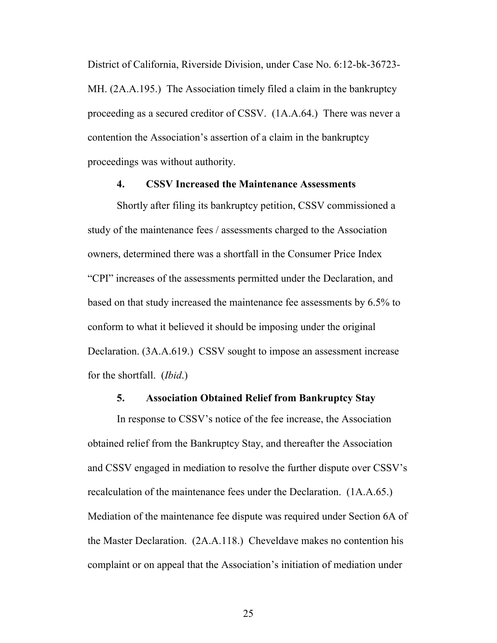District of California, Riverside Division, under Case No. 6:12-bk-36723- MH. (2A.A.195.) The Association timely filed a claim in the bankruptcy proceeding as a secured creditor of CSSV. (1A.A.64.) There was never a contention the Association's assertion of a claim in the bankruptcy proceedings was without authority.

## <span id="page-24-0"></span>**4. CSSV Increased the Maintenance Assessments**

Shortly after filing its bankruptcy petition, CSSV commissioned a study of the maintenance fees / assessments charged to the Association owners, determined there was a shortfall in the Consumer Price Index "CPI" increases of the assessments permitted under the Declaration, and based on that study increased the maintenance fee assessments by 6.5% to conform to what it believed it should be imposing under the original Declaration. (3A.A.619.) CSSV sought to impose an assessment increase for the shortfall. (*Ibid*.)

# <span id="page-24-1"></span>**5. Association Obtained Relief from Bankruptcy Stay**

In response to CSSV's notice of the fee increase, the Association obtained relief from the Bankruptcy Stay, and thereafter the Association and CSSV engaged in mediation to resolve the further dispute over CSSV's recalculation of the maintenance fees under the Declaration. (1A.A.65.) Mediation of the maintenance fee dispute was required under Section 6A of the Master Declaration. (2A.A.118.) Cheveldave makes no contention his complaint or on appeal that the Association's initiation of mediation under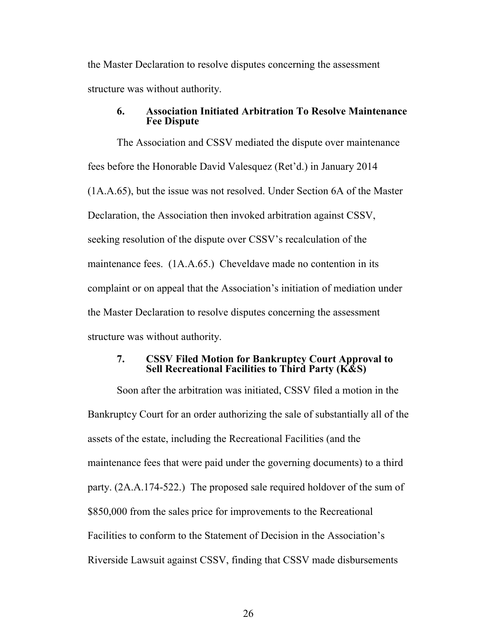the Master Declaration to resolve disputes concerning the assessment structure was without authority.

#### <span id="page-25-0"></span>**6. Association Initiated Arbitration To Resolve Maintenance Fee Dispute**

The Association and CSSV mediated the dispute over maintenance fees before the Honorable David Valesquez (Ret'd.) in January 2014 (1A.A.65), but the issue was not resolved. Under Section 6A of the Master Declaration, the Association then invoked arbitration against CSSV, seeking resolution of the dispute over CSSV's recalculation of the maintenance fees. (1A.A.65.) Cheveldave made no contention in its complaint or on appeal that the Association's initiation of mediation under the Master Declaration to resolve disputes concerning the assessment structure was without authority.

# **7. CSSV Filed Motion for Bankruptcy Court Approval to Sell Recreational Facilities to Third Party (K&S)**

Soon after the arbitration was initiated, CSSV filed a motion in the Bankruptcy Court for an order authorizing the sale of substantially all of the assets of the estate, including the Recreational Facilities (and the maintenance fees that were paid under the governing documents) to a third party. (2A.A.174-522.) The proposed sale required holdover of the sum of \$850,000 from the sales price for improvements to the Recreational Facilities to conform to the Statement of Decision in the Association's Riverside Lawsuit against CSSV, finding that CSSV made disbursements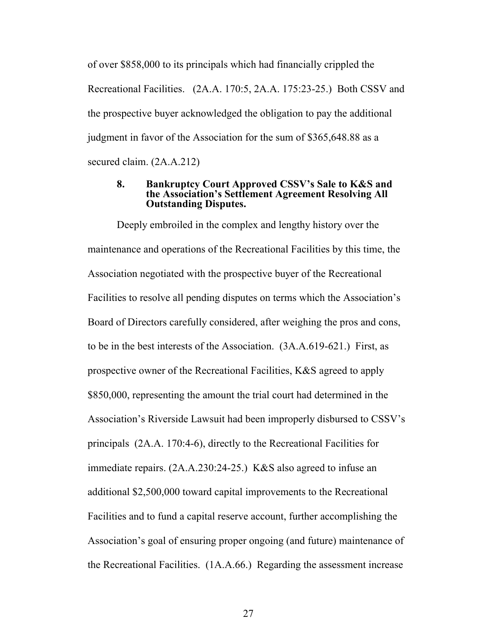of over \$858,000 to its principals which had financially crippled the Recreational Facilities. (2A.A. 170:5, 2A.A. 175:23-25.) Both CSSV and the prospective buyer acknowledged the obligation to pay the additional judgment in favor of the Association for the sum of \$365,648.88 as a secured claim. (2A.A.212)

## <span id="page-26-0"></span>**8. Bankruptcy Court Approved CSSV's Sale to K&S and the Association's Settlement Agreement Resolving All Outstanding Disputes.**

Deeply embroiled in the complex and lengthy history over the maintenance and operations of the Recreational Facilities by this time, the Association negotiated with the prospective buyer of the Recreational Facilities to resolve all pending disputes on terms which the Association's Board of Directors carefully considered, after weighing the pros and cons, to be in the best interests of the Association. (3A.A.619-621.) First, as prospective owner of the Recreational Facilities, K&S agreed to apply \$850,000, representing the amount the trial court had determined in the Association's Riverside Lawsuit had been improperly disbursed to CSSV's principals (2A.A. 170:4-6), directly to the Recreational Facilities for immediate repairs. (2A.A.230:24-25.) K&S also agreed to infuse an additional \$2,500,000 toward capital improvements to the Recreational Facilities and to fund a capital reserve account, further accomplishing the Association's goal of ensuring proper ongoing (and future) maintenance of the Recreational Facilities. (1A.A.66.) Regarding the assessment increase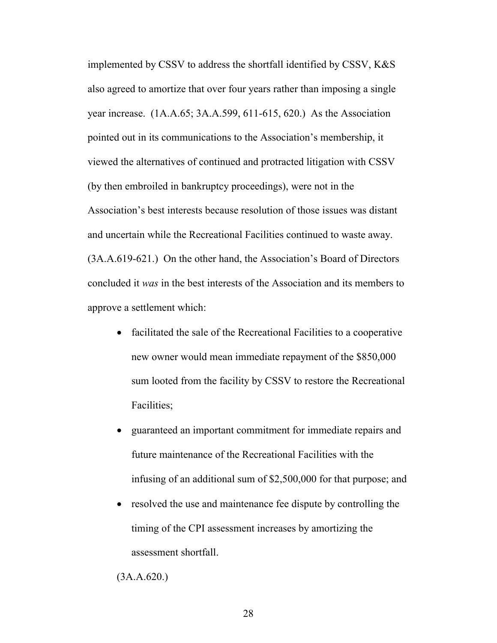implemented by CSSV to address the shortfall identified by CSSV, K&S also agreed to amortize that over four years rather than imposing a single year increase. (1A.A.65; 3A.A.599, 611-615, 620.) As the Association pointed out in its communications to the Association's membership, it viewed the alternatives of continued and protracted litigation with CSSV (by then embroiled in bankruptcy proceedings), were not in the Association's best interests because resolution of those issues was distant and uncertain while the Recreational Facilities continued to waste away. (3A.A.619-621.) On the other hand, the Association's Board of Directors concluded it *was* in the best interests of the Association and its members to approve a settlement which:

- facilitated the sale of the Recreational Facilities to a cooperative new owner would mean immediate repayment of the \$850,000 sum looted from the facility by CSSV to restore the Recreational Facilities;
- guaranteed an important commitment for immediate repairs and future maintenance of the Recreational Facilities with the infusing of an additional sum of \$2,500,000 for that purpose; and
- resolved the use and maintenance fee dispute by controlling the timing of the CPI assessment increases by amortizing the assessment shortfall.

(3A.A.620.)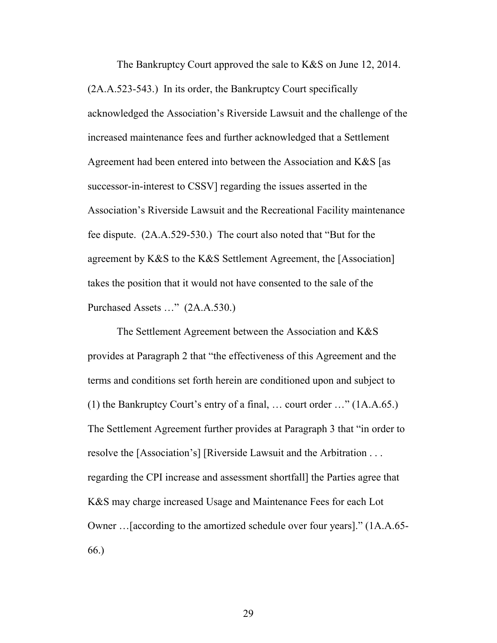The Bankruptcy Court approved the sale to K&S on June 12, 2014. (2A.A.523-543.) In its order, the Bankruptcy Court specifically acknowledged the Association's Riverside Lawsuit and the challenge of the increased maintenance fees and further acknowledged that a Settlement Agreement had been entered into between the Association and K&S [as successor-in-interest to CSSV] regarding the issues asserted in the Association's Riverside Lawsuit and the Recreational Facility maintenance fee dispute. (2A.A.529-530.) The court also noted that "But for the agreement by K&S to the K&S Settlement Agreement, the [Association] takes the position that it would not have consented to the sale of the Purchased Assets …" (2A.A.530.)

The Settlement Agreement between the Association and K&S provides at Paragraph 2 that "the effectiveness of this Agreement and the terms and conditions set forth herein are conditioned upon and subject to (1) the Bankruptcy Court's entry of a final, … court order …" (1A.A.65.) The Settlement Agreement further provides at Paragraph 3 that "in order to resolve the [Association's] [Riverside Lawsuit and the Arbitration . . . regarding the CPI increase and assessment shortfall] the Parties agree that K&S may charge increased Usage and Maintenance Fees for each Lot Owner …[according to the amortized schedule over four years]." (1A.A.65- 66.)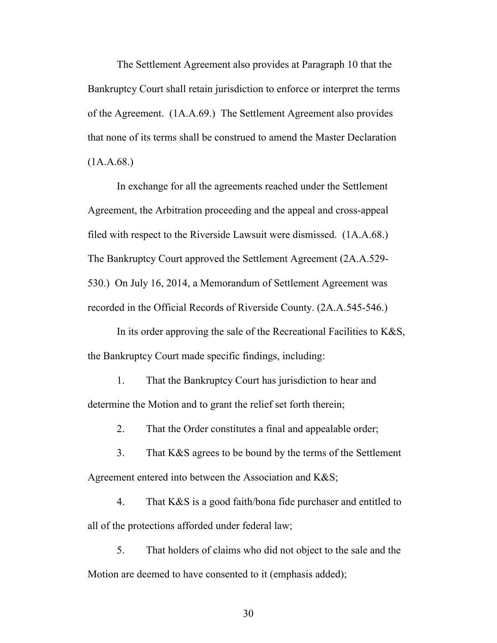The Settlement Agreement also provides at Paragraph 10 that the Bankruptcy Court shall retain jurisdiction to enforce or interpret the terms of the Agreement. (1A.A.69.) The Settlement Agreement also provides that none of its terms shall be construed to amend the Master Declaration  $(1A.A.68.)$ 

In exchange for all the agreements reached under the Settlement Agreement, the Arbitration proceeding and the appeal and cross-appeal filed with respect to the Riverside Lawsuit were dismissed. (1A.A.68.) The Bankruptcy Court approved the Settlement Agreement (2A.A.529- 530.) On July 16, 2014, a Memorandum of Settlement Agreement was recorded in the Official Records of Riverside County. (2A.A.545-546.)

In its order approving the sale of the Recreational Facilities to  $K&S$ , the Bankruptcy Court made specific findings, including:

1. That the Bankruptcy Court has jurisdiction to hear and determine the Motion and to grant the relief set forth therein;

2. That the Order constitutes a final and appealable order;

3. That K&S agrees to be bound by the terms of the Settlement Agreement entered into between the Association and K&S;

4. That K&S is a good faith/bona fide purchaser and entitled to all of the protections afforded under federal law;

5. That holders of claims who did not object to the sale and the Motion are deemed to have consented to it (emphasis added);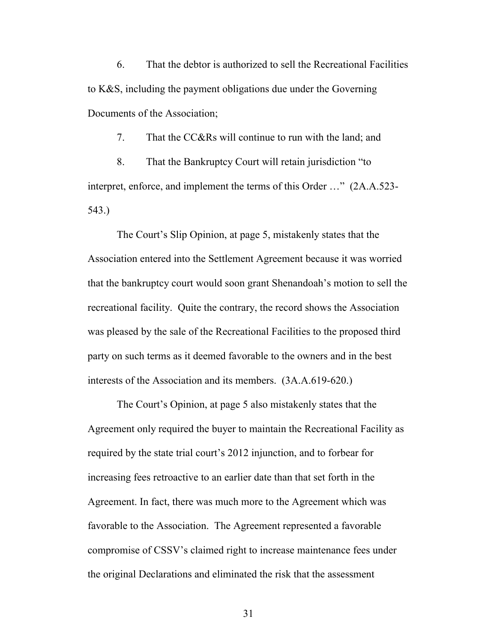6. That the debtor is authorized to sell the Recreational Facilities to K&S, including the payment obligations due under the Governing Documents of the Association;

7. That the CC&Rs will continue to run with the land; and

8. That the Bankruptcy Court will retain jurisdiction "to interpret, enforce, and implement the terms of this Order …" (2A.A.523- 543.)

The Court's Slip Opinion, at page 5, mistakenly states that the Association entered into the Settlement Agreement because it was worried that the bankruptcy court would soon grant Shenandoah's motion to sell the recreational facility. Quite the contrary, the record shows the Association was pleased by the sale of the Recreational Facilities to the proposed third party on such terms as it deemed favorable to the owners and in the best interests of the Association and its members. (3A.A.619-620.)

The Court's Opinion, at page 5 also mistakenly states that the Agreement only required the buyer to maintain the Recreational Facility as required by the state trial court's 2012 injunction, and to forbear for increasing fees retroactive to an earlier date than that set forth in the Agreement. In fact, there was much more to the Agreement which was favorable to the Association. The Agreement represented a favorable compromise of CSSV's claimed right to increase maintenance fees under the original Declarations and eliminated the risk that the assessment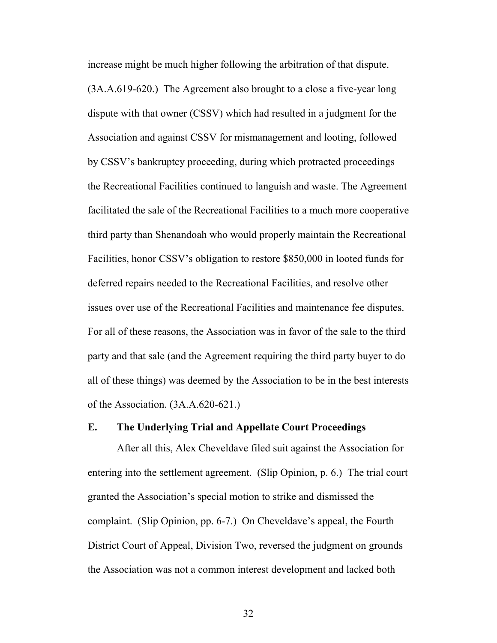increase might be much higher following the arbitration of that dispute.

(3A.A.619-620.) The Agreement also brought to a close a five-year long dispute with that owner (CSSV) which had resulted in a judgment for the Association and against CSSV for mismanagement and looting, followed by CSSV's bankruptcy proceeding, during which protracted proceedings the Recreational Facilities continued to languish and waste. The Agreement facilitated the sale of the Recreational Facilities to a much more cooperative third party than Shenandoah who would properly maintain the Recreational Facilities, honor CSSV's obligation to restore \$850,000 in looted funds for deferred repairs needed to the Recreational Facilities, and resolve other issues over use of the Recreational Facilities and maintenance fee disputes. For all of these reasons, the Association was in favor of the sale to the third party and that sale (and the Agreement requiring the third party buyer to do all of these things) was deemed by the Association to be in the best interests of the Association. (3A.A.620-621.)

#### <span id="page-31-0"></span>**E. The Underlying Trial and Appellate Court Proceedings**

After all this, Alex Cheveldave filed suit against the Association for entering into the settlement agreement. (Slip Opinion, p. 6.) The trial court granted the Association's special motion to strike and dismissed the complaint. (Slip Opinion, pp. 6-7.) On Cheveldave's appeal, the Fourth District Court of Appeal, Division Two, reversed the judgment on grounds the Association was not a common interest development and lacked both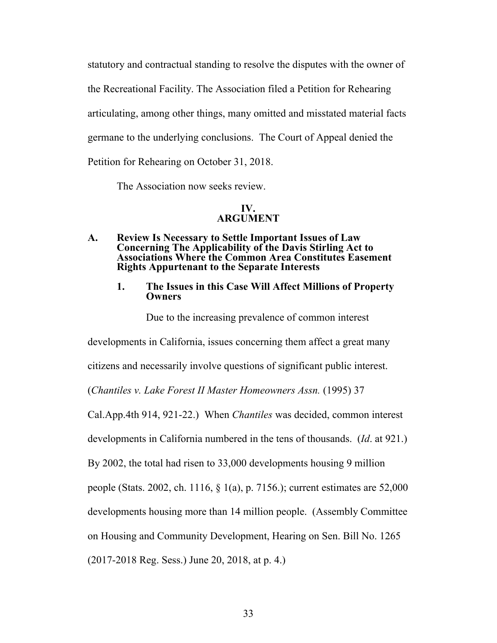statutory and contractual standing to resolve the disputes with the owner of the Recreational Facility. The Association filed a Petition for Rehearing articulating, among other things, many omitted and misstated material facts germane to the underlying conclusions. The Court of Appeal denied the Petition for Rehearing on October 31, 2018.

The Association now seeks review.

# <span id="page-32-2"></span><span id="page-32-1"></span><span id="page-32-0"></span>**IV. ARGUMENT**

### **A. Review Is Necessary to Settle Important Issues of Law Concerning The Applicability of the Davis Stirling Act to Associations Where the Common Area Constitutes Easement Rights Appurtenant to the Separate Interests**

**1. The Issues in this Case Will Affect Millions of Property Owners**

Due to the increasing prevalence of common interest

developments in California, issues concerning them affect a great many

citizens and necessarily involve questions of significant public interest.

<span id="page-32-3"></span>(*Chantiles v. Lake Forest II Master Homeowners Assn.* (1995) 37

Cal.App.4th 914, 921-22.) When *Chantiles* was decided, common interest

developments in California numbered in the tens of thousands. (*Id*. at 921.)

By 2002, the total had risen to 33,000 developments housing 9 million

people (Stats. 2002, ch. 1116, § 1(a), p. 7156.); current estimates are 52,000

developments housing more than 14 million people. (Assembly Committee

<span id="page-32-4"></span>on Housing and Community Development, Hearing on Sen. Bill No. 1265

(2017-2018 Reg. Sess.) June 20, 2018, at p. 4.)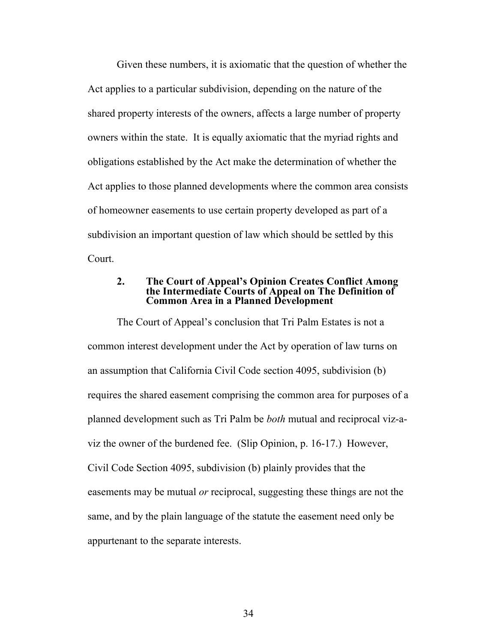Given these numbers, it is axiomatic that the question of whether the Act applies to a particular subdivision, depending on the nature of the shared property interests of the owners, affects a large number of property owners within the state. It is equally axiomatic that the myriad rights and obligations established by the Act make the determination of whether the Act applies to those planned developments where the common area consists of homeowner easements to use certain property developed as part of a subdivision an important question of law which should be settled by this Court.

#### <span id="page-33-0"></span>**2. The Court of Appeal's Opinion Creates Conflict Among the Intermediate Courts of Appeal on The Definition of Common Area in a Planned Development**

The Court of Appeal's conclusion that Tri Palm Estates is not a common interest development under the Act by operation of law turns on an assumption that California Civil Code section 4095, subdivision (b) requires the shared easement comprising the common area for purposes of a planned development such as Tri Palm be *both* mutual and reciprocal viz-aviz the owner of the burdened fee. (Slip Opinion, p. 16-17.) However, Civil Code Section 4095, subdivision (b) plainly provides that the easements may be mutual *or* reciprocal, suggesting these things are not the same, and by the plain language of the statute the easement need only be appurtenant to the separate interests.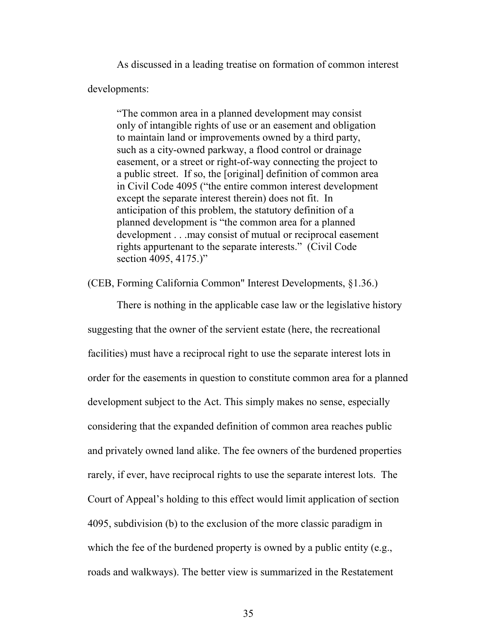As discussed in a leading treatise on formation of common interest developments:

"The common area in a planned development may consist only of intangible rights of use or an easement and obligation to maintain land or improvements owned by a third party, such as a city-owned parkway, a flood control or drainage easement, or a street or right-of-way connecting the project to a public street. If so, the [original] definition of common area in Civil Code 4095 ("the entire common interest development except the separate interest therein) does not fit. In anticipation of this problem, the statutory definition of a planned development is "the common area for a planned development . . .may consist of mutual or reciprocal easement rights appurtenant to the separate interests." (Civil Code section 4095, 4175.)"

(CEB, Forming California Common" Interest Developments, §1.36.)

<span id="page-34-0"></span>There is nothing in the applicable case law or the legislative history suggesting that the owner of the servient estate (here, the recreational facilities) must have a reciprocal right to use the separate interest lots in order for the easements in question to constitute common area for a planned development subject to the Act. This simply makes no sense, especially considering that the expanded definition of common area reaches public and privately owned land alike. The fee owners of the burdened properties rarely, if ever, have reciprocal rights to use the separate interest lots. The Court of Appeal's holding to this effect would limit application of section 4095, subdivision (b) to the exclusion of the more classic paradigm in which the fee of the burdened property is owned by a public entity (e.g., roads and walkways). The better view is summarized in the Restatement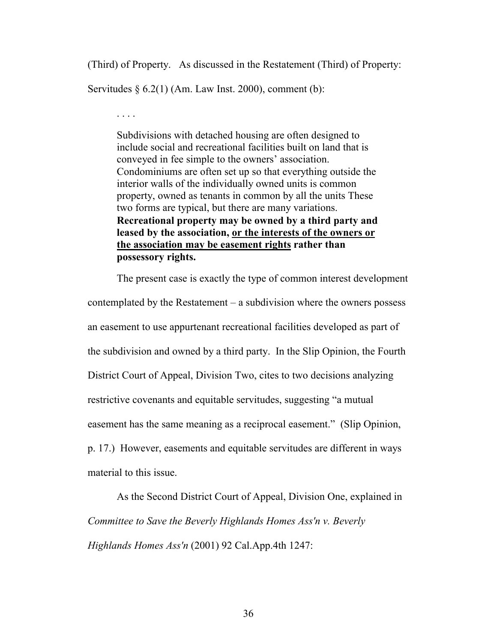(Third) of Property. As discussed in the Restatement (Third) of Property:

Servitudes  $\S 6.2(1)$  (Am. Law Inst. 2000), comment (b):

<span id="page-35-1"></span>. . . .

Subdivisions with detached housing are often designed to include social and recreational facilities built on land that is conveyed in fee simple to the owners' association. Condominiums are often set up so that everything outside the interior walls of the individually owned units is common property, owned as tenants in common by all the units These two forms are typical, but there are many variations. **Recreational property may be owned by a third party and leased by the association, or the interests of the owners or the association may be easement rights rather than possessory rights.**

The present case is exactly the type of common interest development contemplated by the Restatement – a subdivision where the owners possess an easement to use appurtenant recreational facilities developed as part of the subdivision and owned by a third party. In the Slip Opinion, the Fourth District Court of Appeal, Division Two, cites to two decisions analyzing restrictive covenants and equitable servitudes, suggesting "a mutual easement has the same meaning as a reciprocal easement." (Slip Opinion, p. 17.) However, easements and equitable servitudes are different in ways material to this issue.

<span id="page-35-0"></span>As the Second District Court of Appeal, Division One, explained in *Committee to Save the Beverly Highlands Homes Ass'n v. Beverly Highlands Homes Ass'n* (2001) 92 Cal.App.4th 1247: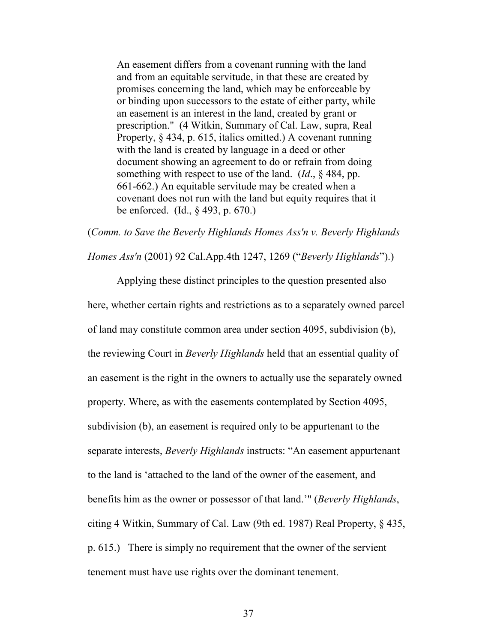An easement differs from a covenant running with the land and from an equitable servitude, in that these are created by promises concerning the land, which may be enforceable by or binding upon successors to the estate of either party, while an easement is an interest in the land, created by grant or prescription." (4 Witkin, Summary of Cal. Law, supra, Real Property, § 434, p. 615, italics omitted.) A covenant running with the land is created by language in a deed or other document showing an agreement to do or refrain from doing something with respect to use of the land. (*Id*., § 484, pp. 661-662.) An equitable servitude may be created when a covenant does not run with the land but equity requires that it be enforced. (Id., § 493, p. 670.)

<span id="page-36-0"></span>(*Comm. to Save the Beverly Highlands Homes Ass'n v. Beverly Highlands* 

*Homes Ass'n* (2001) 92 Cal.App.4th 1247, 1269 ("*Beverly Highlands*").)

Applying these distinct principles to the question presented also here, whether certain rights and restrictions as to a separately owned parcel of land may constitute common area under section 4095, subdivision (b), the reviewing Court in *Beverly Highlands* held that an essential quality of an easement is the right in the owners to actually use the separately owned property. Where, as with the easements contemplated by Section 4095, subdivision (b), an easement is required only to be appurtenant to the separate interests, *Beverly Highlands* instructs: "An easement appurtenant to the land is 'attached to the land of the owner of the easement, and benefits him as the owner or possessor of that land.'" (*Beverly Highlands*, citing 4 Witkin, Summary of Cal. Law (9th ed. 1987) Real Property, § 435, p. 615.) There is simply no requirement that the owner of the servient tenement must have use rights over the dominant tenement.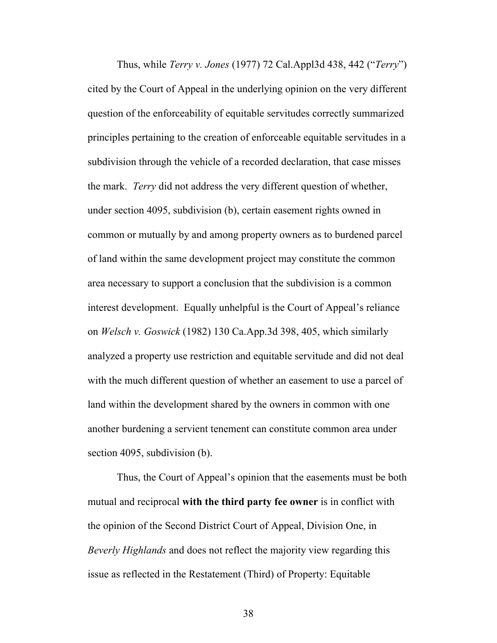<span id="page-37-1"></span>Thus, while *Terry v. Jones* (1977) 72 Cal.Appl3d 438, 442 ("*Terry*") cited by the Court of Appeal in the underlying opinion on the very different question of the enforceability of equitable servitudes correctly summarized principles pertaining to the creation of enforceable equitable servitudes in a subdivision through the vehicle of a recorded declaration, that case misses the mark. *Terry* did not address the very different question of whether, under section 4095, subdivision (b), certain easement rights owned in common or mutually by and among property owners as to burdened parcel of land within the same development project may constitute the common area necessary to support a conclusion that the subdivision is a common interest development. Equally unhelpful is the Court of Appeal's reliance on *Welsch v. Goswick* (1982) 130 Ca.App.3d 398, 405, which similarly analyzed a property use restriction and equitable servitude and did not deal with the much different question of whether an easement to use a parcel of land within the development shared by the owners in common with one another burdening a servient tenement can constitute common area under section 4095, subdivision (b).

<span id="page-37-3"></span><span id="page-37-2"></span><span id="page-37-0"></span>Thus, the Court of Appeal's opinion that the easements must be both mutual and reciprocal **with the third party fee owner** is in conflict with the opinion of the Second District Court of Appeal, Division One, in *Beverly Highlands* and does not reflect the majority view regarding this issue as reflected in the Restatement (Third) of Property: Equitable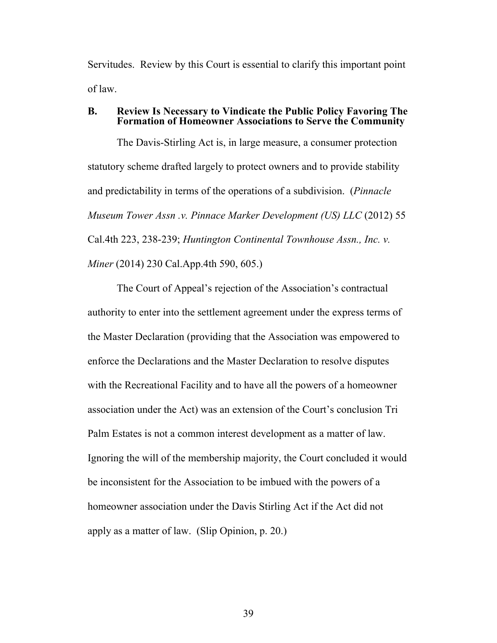<span id="page-38-0"></span>Servitudes. Review by this Court is essential to clarify this important point of law.

#### **B. Review Is Necessary to Vindicate the Public Policy Favoring The Formation of Homeowner Associations to Serve the Community**

<span id="page-38-1"></span>The Davis-Stirling Act is, in large measure, a consumer protection statutory scheme drafted largely to protect owners and to provide stability and predictability in terms of the operations of a subdivision. (*Pinnacle Museum Tower Assn .v. Pinnace Marker Development (US) LLC* (2012) 55 Cal.4th 223, 238-239; *Huntington Continental Townhouse Assn., Inc. v. Miner* (2014) 230 Cal.App.4th 590, 605.)

The Court of Appeal's rejection of the Association's contractual authority to enter into the settlement agreement under the express terms of the Master Declaration (providing that the Association was empowered to enforce the Declarations and the Master Declaration to resolve disputes with the Recreational Facility and to have all the powers of a homeowner association under the Act) was an extension of the Court's conclusion Tri Palm Estates is not a common interest development as a matter of law. Ignoring the will of the membership majority, the Court concluded it would be inconsistent for the Association to be imbued with the powers of a homeowner association under the Davis Stirling Act if the Act did not apply as a matter of law. (Slip Opinion, p. 20.)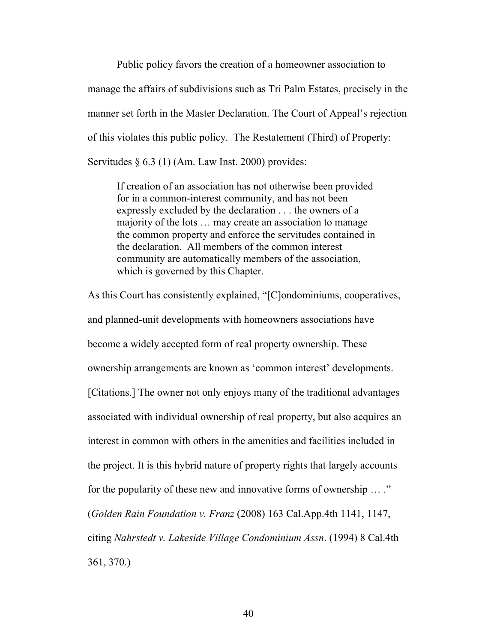Public policy favors the creation of a homeowner association to manage the affairs of subdivisions such as Tri Palm Estates, precisely in the manner set forth in the Master Declaration. The Court of Appeal's rejection of this violates this public policy. The Restatement (Third) of Property: Servitudes  $\S 6.3$  (1) (Am. Law Inst. 2000) provides:

<span id="page-39-1"></span>If creation of an association has not otherwise been provided for in a common-interest community, and has not been expressly excluded by the declaration . . . the owners of a majority of the lots … may create an association to manage the common property and enforce the servitudes contained in the declaration. All members of the common interest community are automatically members of the association, which is governed by this Chapter.

<span id="page-39-0"></span>As this Court has consistently explained, "[C]ondominiums, cooperatives, and planned-unit developments with homeowners associations have become a widely accepted form of real property ownership. These ownership arrangements are known as 'common interest' developments. [Citations.] The owner not only enjoys many of the traditional advantages associated with individual ownership of real property, but also acquires an interest in common with others in the amenities and facilities included in the project. It is this hybrid nature of property rights that largely accounts for the popularity of these new and innovative forms of ownership … ." (*Golden Rain Foundation v. Franz* (2008) 163 Cal.App.4th 1141, 1147, citing *Nahrstedt v. Lakeside Village Condominium Assn*. (1994) 8 Cal.4th 361, 370.)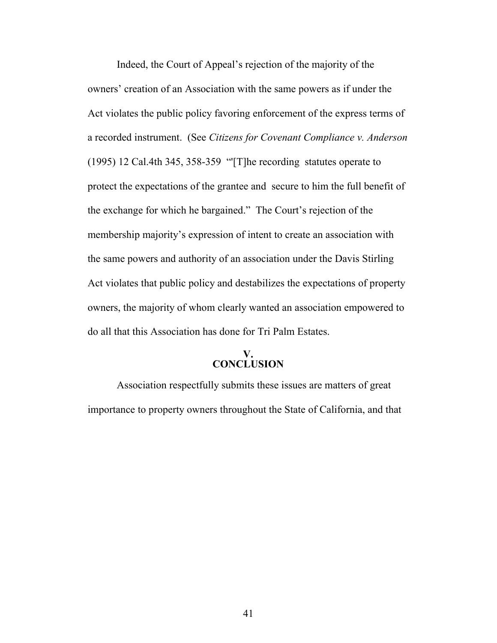<span id="page-40-1"></span>Indeed, the Court of Appeal's rejection of the majority of the owners' creation of an Association with the same powers as if under the Act violates the public policy favoring enforcement of the express terms of a recorded instrument. (See *Citizens for Covenant Compliance v. Anderson* (1995) 12 Cal.4th 345, 358-359 "'[T]he recording statutes operate to protect the expectations of the grantee and secure to him the full benefit of the exchange for which he bargained." The Court's rejection of the membership majority's expression of intent to create an association with the same powers and authority of an association under the Davis Stirling Act violates that public policy and destabilizes the expectations of property owners, the majority of whom clearly wanted an association empowered to do all that this Association has done for Tri Palm Estates.

## <span id="page-40-0"></span>**V. CONCLUSION**

Association respectfully submits these issues are matters of great importance to property owners throughout the State of California, and that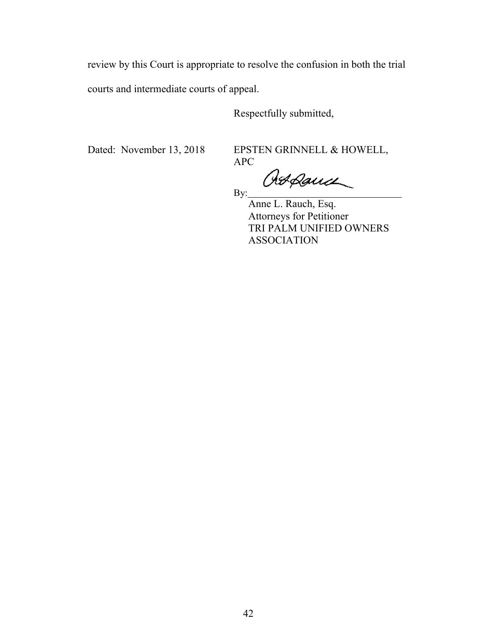review by this Court is appropriate to resolve the confusion in both the trial courts and intermediate courts of appeal.

By:

Respectfully submitted,

Dated: November 13, 2018 EPSTEN GRINNELL & HOWELL, APC

Ort Dance

Anne L. Rauch, Esq. Attorneys for Petitioner TRI PALM UNIFIED OWNERS ASSOCIATION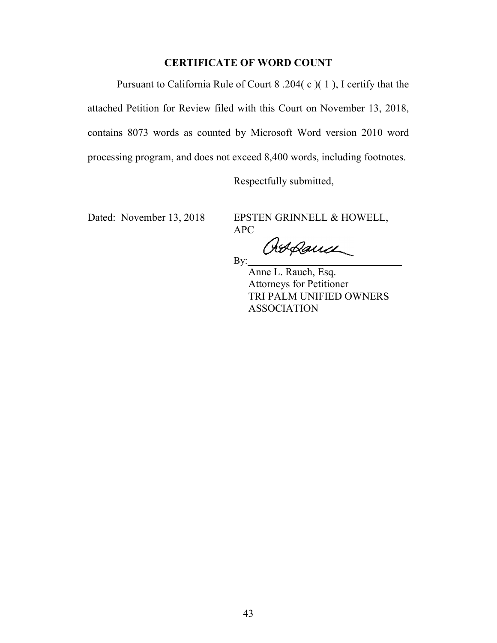# <span id="page-42-0"></span>**CERTIFICATE OF WORD COUNT**

Pursuant to California Rule of Court 8 .204( c )( 1 ), I certify that the attached Petition for Review filed with this Court on November 13, 2018, contains 8073 words as counted by Microsoft Word version 2010 word processing program, and does not exceed 8,400 words, including footnotes.

Respectfully submitted,

Dated: November 13, 2018 EPSTEN GRINNELL & HOWELL, APC

Atpance

By:

Anne L. Rauch, Esq. Attorneys for Petitioner TRI PALM UNIFIED OWNERS ASSOCIATION